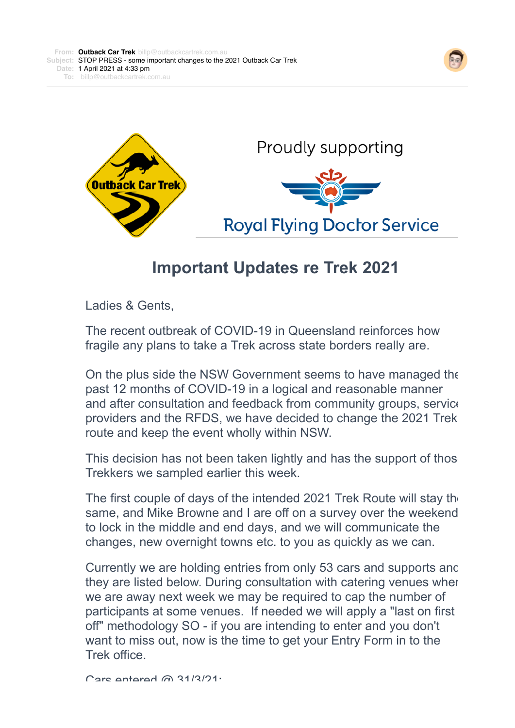



## **Important Updates re Trek 2021**

Ladies & Gents,

The recent outbreak of COVID-19 in Queensland reinforces how fragile any plans to take a Trek across state borders really are.

On the plus side the NSW Government seems to have managed the past 12 months of COVID-19 in a logical and reasonable manner and after consultation and feedback from community groups, service providers and the RFDS, we have decided to change the 2021 Trek route and keep the event wholly within NSW.

This decision has not been taken lightly and has the support of thos Trekkers we sampled earlier this week.

The first couple of days of the intended 2021 Trek Route will stay the same, and Mike Browne and I are off on a survey over the weekend to lock in the middle and end days, and we will communicate the changes, new overnight towns etc. to you as quickly as we can.

Currently we are holding entries from only 53 cars and supports and they are listed below. During consultation with catering venues when we are away next week we may be required to cap the number of participants at some venues. If needed we will apply a "last on first off" methodology SO - if you are intending to enter and you don't want to miss out, now is the time to get your Entry Form in to the Trek office.

 $C$ ars entered @ 31/3/21.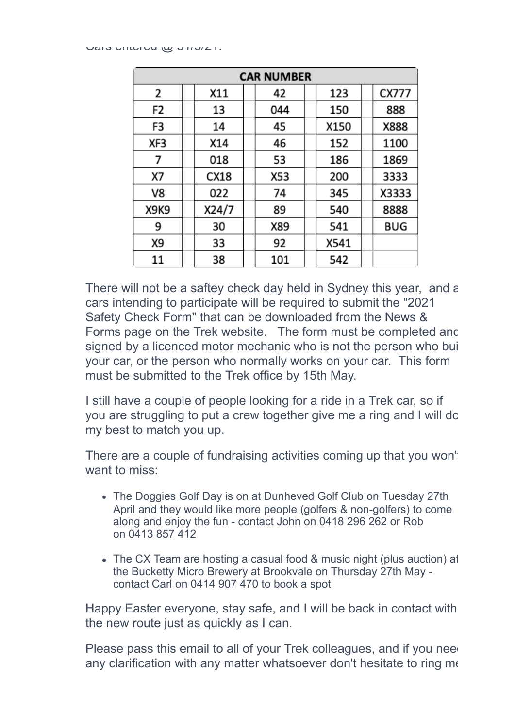| <b>CAR NUMBER</b> |  |       |  |     |  |      |  |       |
|-------------------|--|-------|--|-----|--|------|--|-------|
| 2                 |  | X11   |  | 42  |  | 123  |  | CX777 |
| F2                |  | 13    |  | 044 |  | 150  |  | 888   |
| F3                |  | 14    |  | 45  |  | X150 |  | X888  |
| XF3               |  | X14   |  | 46  |  | 152  |  | 1100  |
| 7                 |  | 018   |  | 53  |  | 186  |  | 1869  |
| X7                |  | CX18  |  | X53 |  | 200  |  | 3333  |
| V8                |  | 022   |  | 74  |  | 345  |  | X3333 |
| X9K9              |  | X24/7 |  | 89  |  | 540  |  | 8888  |
| 9                 |  | 30    |  | X89 |  | 541  |  | BUG   |
| X9                |  | 33    |  | 92  |  | X541 |  |       |
| 11                |  | 38    |  | 101 |  | 542  |  |       |

There will not be a saftey check day held in Sydney this year, and  $\varepsilon$ cars intending to participate will be required to submit the "2021 Safety Check Form" that can be downloaded from the News & Forms page on the Trek website. The form must be completed and signed by a licenced motor mechanic who is not the person who built your car, or the person who normally works on your car. This form must be submitted to the Trek office by 15th May.

I still have a couple of people looking for a ride in a Trek car, so if you are struggling to put a crew together give me a ring and I will do my best to match you up.

There are a couple of fundraising activities coming up that you won't want to miss:

- The Doggies Golf Day is on at Dunheved Golf Club on Tuesday 27th April and they would like more people (golfers & non-golfers) to come along and enjoy the fun - contact John on 0418 296 262 or Rob on 0413 857 412
- The CX Team are hosting a casual food & music night (plus auction) at the Bucketty Micro Brewery at Brookvale on Thursday 27th May contact Carl on 0414 907 470 to book a spot

Happy Easter everyone, stay safe, and I will be back in contact with the new route just as quickly as I can.

Please pass this email to all of your Trek colleagues, and if you need any clarification with any matter whatsoever don't hesitate to ring me.